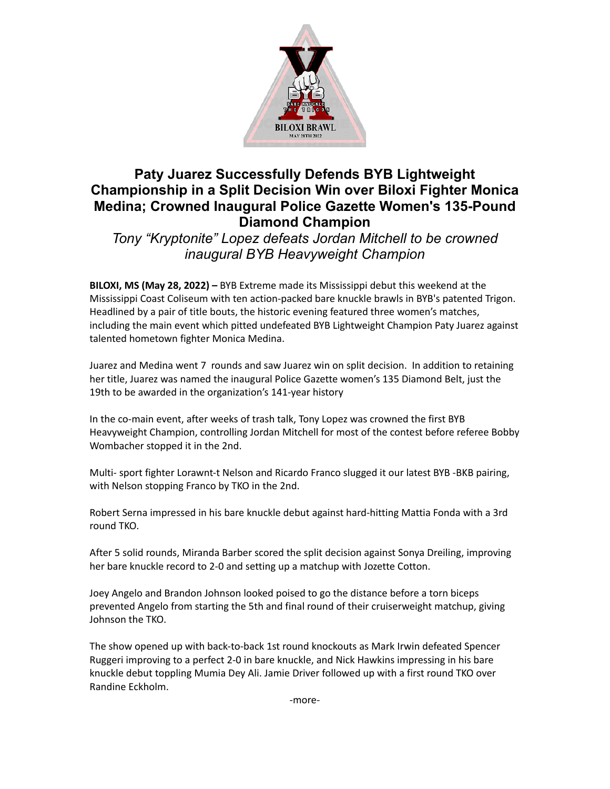

## **Paty Juarez Successfully Defends BYB Lightweight Championship in a Split Decision Win over Biloxi Fighter Monica Medina; Crowned Inaugural Police Gazette Women's 135-Pound Diamond Champion**

*Tony "Kryptonite" Lopez defeats Jordan Mitchell to be crowned inaugural BYB Heavyweight Champion*

**BILOXI, MS (May 28, 2022) –** BYB Extreme made its Mississippi debut this weekend at the Mississippi Coast Coliseum with ten action-packed bare knuckle brawls in BYB's patented Trigon. Headlined by a pair of title bouts, the historic evening featured three women's matches, including the main event which pitted undefeated BYB Lightweight Champion Paty Juarez against talented hometown fighter Monica Medina.

Juarez and Medina went 7 rounds and saw Juarez win on split decision. In addition to retaining her title, Juarez was named the inaugural Police Gazette women's 135 Diamond Belt, just the 19th to be awarded in the organization's 141-year history

In the co-main event, after weeks of trash talk, Tony Lopez was crowned the first BYB Heavyweight Champion, controlling Jordan Mitchell for most of the contest before referee Bobby Wombacher stopped it in the 2nd.

Multi- sport fighter Lorawnt-t Nelson and Ricardo Franco slugged it our latest BYB -BKB pairing, with Nelson stopping Franco by TKO in the 2nd.

Robert Serna impressed in his bare knuckle debut against hard-hitting Mattia Fonda with a 3rd round TKO.

After 5 solid rounds, Miranda Barber scored the split decision against Sonya Dreiling, improving her bare knuckle record to 2-0 and setting up a matchup with Jozette Cotton.

Joey Angelo and Brandon Johnson looked poised to go the distance before a torn biceps prevented Angelo from starting the 5th and final round of their cruiserweight matchup, giving Johnson the TKO.

The show opened up with back-to-back 1st round knockouts as Mark Irwin defeated Spencer Ruggeri improving to a perfect 2-0 in bare knuckle, and Nick Hawkins impressing in his bare knuckle debut toppling Mumia Dey Ali. Jamie Driver followed up with a first round TKO over Randine Eckholm.

-more-